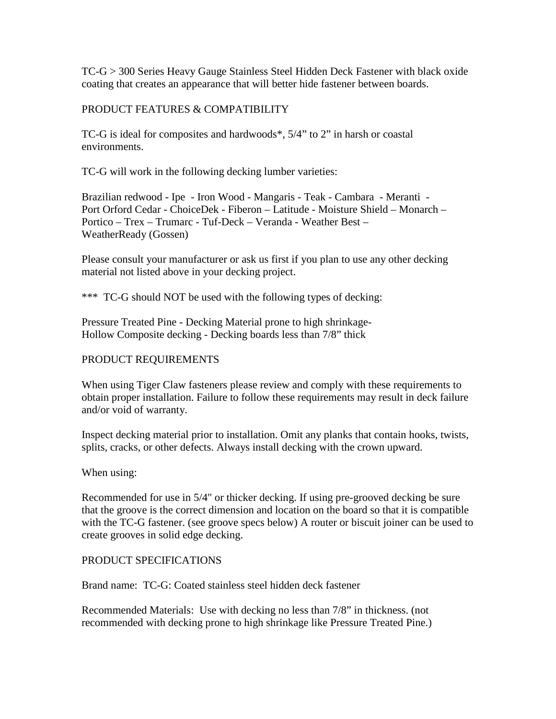TC-G > 300 Series Heavy Gauge Stainless Steel Hidden Deck Fastener with black oxide coating that creates an appearance that will better hide fastener between boards.

## PRODUCT FEATURES & COMPATIBILITY

TC-G is ideal for composites and hardwoods\*, 5/4" to 2" in harsh or coastal environments.

TC-G will work in the following decking lumber varieties:

Brazilian redwood - Ipe - Iron Wood - Mangaris - Teak - Cambara - Meranti - Port Orford Cedar - ChoiceDek - Fiberon – Latitude - Moisture Shield – Monarch – Portico – Trex – Trumarc - Tuf-Deck – Veranda - Weather Best – WeatherReady (Gossen)

Please consult your manufacturer or ask us first if you plan to use any other decking material not listed above in your decking project.

\*\*\* TC-G should NOT be used with the following types of decking:

Pressure Treated Pine - Decking Material prone to high shrinkage-Hollow Composite decking - Decking boards less than 7/8" thick

## PRODUCT REQUIREMENTS

When using Tiger Claw fasteners please review and comply with these requirements to obtain proper installation. Failure to follow these requirements may result in deck failure and/or void of warranty.

Inspect decking material prior to installation. Omit any planks that contain hooks, twists, splits, cracks, or other defects. Always install decking with the crown upward.

When using:

Recommended for use in 5/4" or thicker decking. If using pre-grooved decking be sure that the groove is the correct dimension and location on the board so that it is compatible with the TC-G fastener. (see groove specs below) A router or biscuit joiner can be used to create grooves in solid edge decking.

## PRODUCT SPECIFICATIONS

Brand name: TC-G: Coated stainless steel hidden deck fastener

Recommended Materials: Use with decking no less than 7/8" in thickness. (not recommended with decking prone to high shrinkage like Pressure Treated Pine.)